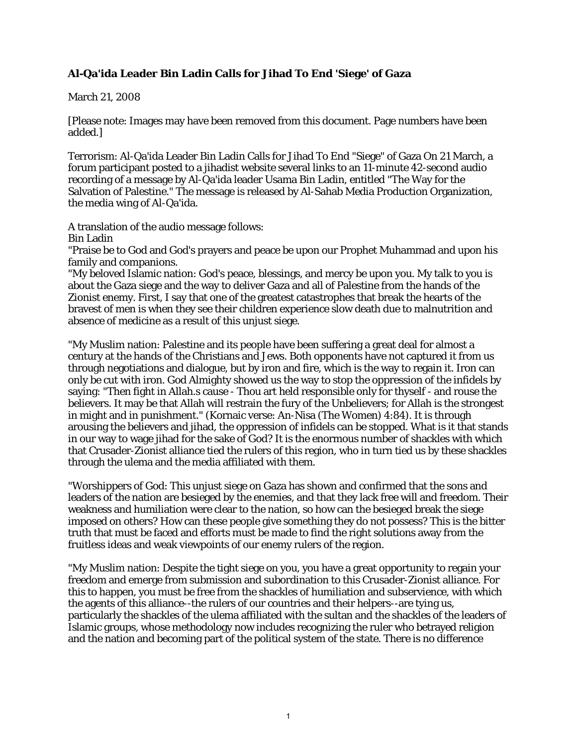## **Al-Qa'ida Leader Bin Ladin Calls for Jihad To End 'Siege' of Gaza**

## March 21, 2008

[Please note: Images may have been removed from this document. Page numbers have been added.]

Terrorism: Al-Qa'ida Leader Bin Ladin Calls for Jihad To End "Siege" of Gaza On 21 March, a forum participant posted to a jihadist website several links to an 11-minute 42-second audio recording of a message by Al-Qa'ida leader Usama Bin Ladin, entitled "The Way for the Salvation of Palestine." The message is released by Al-Sahab Media Production Organization, the media wing of Al-Qa'ida.

A translation of the audio message follows:

Bin Ladin

"Praise be to God and God's prayers and peace be upon our Prophet Muhammad and upon his family and companions.

"My beloved Islamic nation: God's peace, blessings, and mercy be upon you. My talk to you is about the Gaza siege and the way to deliver Gaza and all of Palestine from the hands of the Zionist enemy. First, I say that one of the greatest catastrophes that break the hearts of the bravest of men is when they see their children experience slow death due to malnutrition and absence of medicine as a result of this unjust siege.

"My Muslim nation: Palestine and its people have been suffering a great deal for almost a century at the hands of the Christians and Jews. Both opponents have not captured it from us through negotiations and dialogue, but by iron and fire, which is the way to regain it. Iron can only be cut with iron. God Almighty showed us the way to stop the oppression of the infidels by saying: "Then fight in Allah.s cause - Thou art held responsible only for thyself - and rouse the believers. It may be that Allah will restrain the fury of the Unbelievers; for Allah is the strongest in might and in punishment." (Kornaic verse: An-Nisa (The Women) 4:84). It is through arousing the believers and jihad, the oppression of infidels can be stopped. What is it that stands in our way to wage jihad for the sake of God? It is the enormous number of shackles with which that Crusader-Zionist alliance tied the rulers of this region, who in turn tied us by these shackles through the ulema and the media affiliated with them.

"Worshippers of God: This unjust siege on Gaza has shown and confirmed that the sons and leaders of the nation are besieged by the enemies, and that they lack free will and freedom. Their weakness and humiliation were clear to the nation, so how can the besieged break the siege imposed on others? How can these people give something they do not possess? This is the bitter truth that must be faced and efforts must be made to find the right solutions away from the fruitless ideas and weak viewpoints of our enemy rulers of the region.

"My Muslim nation: Despite the tight siege on you, you have a great opportunity to regain your freedom and emerge from submission and subordination to this Crusader-Zionist alliance. For this to happen, you must be free from the shackles of humiliation and subservience, with which the agents of this alliance--the rulers of our countries and their helpers--are tying us, particularly the shackles of the ulema affiliated with the sultan and the shackles of the leaders of Islamic groups, whose methodology now includes recognizing the ruler who betrayed religion and the nation and becoming part of the political system of the state. There is no difference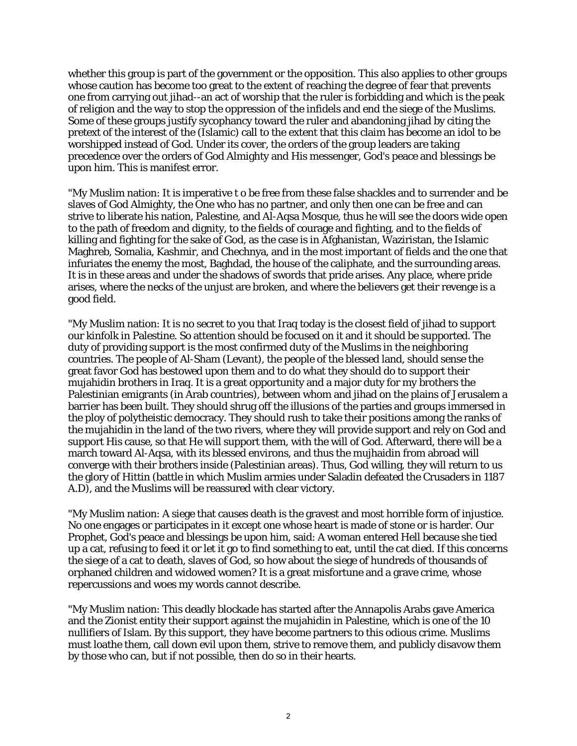whether this group is part of the government or the opposition. This also applies to other groups whose caution has become too great to the extent of reaching the degree of fear that prevents one from carrying out jihad--an act of worship that the ruler is forbidding and which is the peak of religion and the way to stop the oppression of the infidels and end the siege of the Muslims. Some of these groups justify sycophancy toward the ruler and abandoning jihad by citing the pretext of the interest of the (Islamic) call to the extent that this claim has become an idol to be worshipped instead of God. Under its cover, the orders of the group leaders are taking precedence over the orders of God Almighty and His messenger, God's peace and blessings be upon him. This is manifest error.

"My Muslim nation: It is imperative t o be free from these false shackles and to surrender and be slaves of God Almighty, the One who has no partner, and only then one can be free and can strive to liberate his nation, Palestine, and Al-Aqsa Mosque, thus he will see the doors wide open to the path of freedom and dignity, to the fields of courage and fighting, and to the fields of killing and fighting for the sake of God, as the case is in Afghanistan, Waziristan, the Islamic Maghreb, Somalia, Kashmir, and Chechnya, and in the most important of fields and the one that infuriates the enemy the most, Baghdad, the house of the caliphate, and the surrounding areas. It is in these areas and under the shadows of swords that pride arises. Any place, where pride arises, where the necks of the unjust are broken, and where the believers get their revenge is a good field.

"My Muslim nation: It is no secret to you that Iraq today is the closest field of jihad to support our kinfolk in Palestine. So attention should be focused on it and it should be supported. The duty of providing support is the most confirmed duty of the Muslims in the neighboring countries. The people of Al-Sham (Levant), the people of the blessed land, should sense the great favor God has bestowed upon them and to do what they should do to support their mujahidin brothers in Iraq. It is a great opportunity and a major duty for my brothers the Palestinian emigrants (in Arab countries), between whom and jihad on the plains of Jerusalem a barrier has been built. They should shrug off the illusions of the parties and groups immersed in the ploy of polytheistic democracy. They should rush to take their positions among the ranks of the mujahidin in the land of the two rivers, where they will provide support and rely on God and support His cause, so that He will support them, with the will of God. Afterward, there will be a march toward Al-Aqsa, with its blessed environs, and thus the mujhaidin from abroad will converge with their brothers inside (Palestinian areas). Thus, God willing, they will return to us the glory of Hittin (battle in which Muslim armies under Saladin defeated the Crusaders in 1187 A.D), and the Muslims will be reassured with clear victory.

"My Muslim nation: A siege that causes death is the gravest and most horrible form of injustice. No one engages or participates in it except one whose heart is made of stone or is harder. Our Prophet, God's peace and blessings be upon him, said: A woman entered Hell because she tied up a cat, refusing to feed it or let it go to find something to eat, until the cat died. If this concerns the siege of a cat to death, slaves of God, so how about the siege of hundreds of thousands of orphaned children and widowed women? It is a great misfortune and a grave crime, whose repercussions and woes my words cannot describe.

"My Muslim nation: This deadly blockade has started after the Annapolis Arabs gave America and the Zionist entity their support against the mujahidin in Palestine, which is one of the 10 nullifiers of Islam. By this support, they have become partners to this odious crime. Muslims must loathe them, call down evil upon them, strive to remove them, and publicly disavow them by those who can, but if not possible, then do so in their hearts.